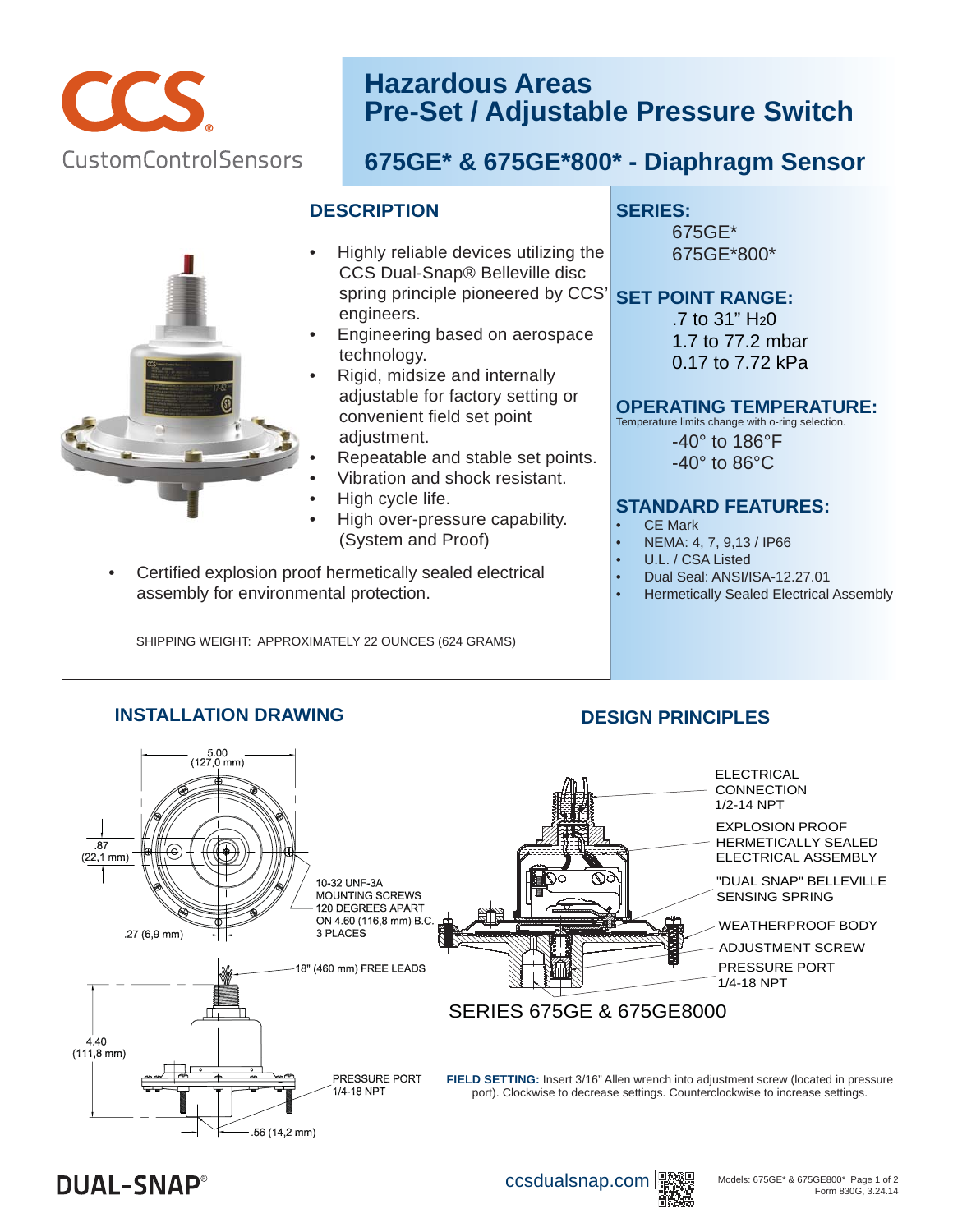

## **Hazardous Areas Pre-Set / Adjustable Pressure Switch**

## **675GE\* & 675GE\*800\* - Diaphragm Sensor**

## **DESCRIPTION**

- Highly reliable devices utilizing the CCS Dual-Snap® Belleville disc spring principle pioneered by CCS' engineers. •
- Engineering based on aerospace technology. •
- Rigid, midsize and internally adjustable for factory setting or convenient field set point adjustment. •
- Repeatable and stable set points. •
- Vibration and shock resistant. •
- High cycle life. •
- High over-pressure capability. (System and Proof) •
- Certified explosion proof hermetically sealed electrical assembly for environmental protection.

SHIPPING WEIGHT: APPROXIMATELY 22 OUNCES (624 GRAMS)

## **SERIES:**

675GE\* 675GE\*800\*

## **SET POINT RANGE:**

 $.7$  to 31" H<sub>2</sub>0 1.7 to 77.2 mbar 0.17 to 7.72 kPa

## **OPERATING TEMPERATURE:**

Temperature limits change with o-ring selection.

-40° to 186°F -40° to 86°C

## **STANDARD FEATURES:**

- **CE Mark**
- NEMA: 4, 7, 9,13 / IP66
- U.L. / CSA Listed
- Dual Seal: ANSI/ISA-12.27.01
- Hermetically Sealed Electrical Assembly



**INSTALLATION DRAWING**

## **DESIGN PRINCIPLES**

**DUAL-SNAP®** 

ccsdualsnap.com